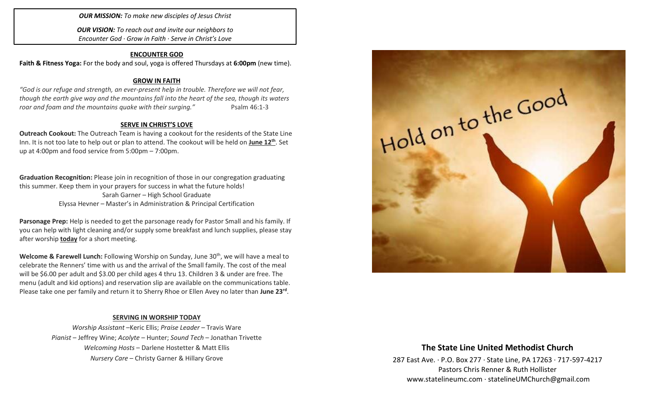*OUR MISSION: To make new disciples of Jesus Christ*

*OUR VISION: To reach out and invite our neighbors to Encounter God · Grow in Faith · Serve in Christ's Love*

### **ENCOUNTER GOD**

**Faith & Fitness Yoga:** For the body and soul, yoga is offered Thursdays at **6:00pm** (new time).

#### **GROW IN FAITH**

*"God is our refuge and strength, an ever-present help in trouble. Therefore we will not fear, though the earth give way and the mountains fall into the heart of the sea, though its waters roar and foam and the mountains quake with their surging."* Psalm 46:1-3

#### **SERVE IN CHRIST'S LOVE**

**Outreach Cookout:** The Outreach Team is having a cookout for the residents of the State Line Inn. It is not too late to help out or plan to attend. The cookout will be held on *June* 12<sup>th</sup>. Set up at 4:00pm and food service from 5:00pm – 7:00pm.

**Graduation Recognition:** Please join in recognition of those in our congregation graduating this summer. Keep them in your prayers for success in what the future holds! Sarah Garner – High School Graduate Elyssa Hevner – Master's in Administration & Principal Certification

**Parsonage Prep:** Help is needed to get the parsonage ready for Pastor Small and his family. If you can help with light cleaning and/or supply some breakfast and lunch supplies, please stay after worship **today** for a short meeting.

**Welcome & Farewell Lunch:** Following Worship on Sunday, June 30<sup>th</sup>, we will have a meal to celebrate the Renners' time with us and the arrival of the Small family. The cost of the meal will be \$6.00 per adult and \$3.00 per child ages 4 thru 13. Children 3 & under are free. The menu (adult and kid options) and reservation slip are available on the communications table. Please take one per family and return it to Sherry Rhoe or Ellen Avey no later than **June 23rd** .

#### **SERVING IN WORSHIP TODAY**

*Worship Assistant* –Keric Ellis; *Praise Leader* – Travis Ware *Pianist* – Jeffrey Wine; *Acolyte* – Hunter; *Sound Tech* – Jonathan Trivette *Welcoming Hosts* – Darlene Hostetter & Matt Ellis *Nursery Care* – Christy Garner & Hillary Grove



### **The State Line United Methodist Church**

287 East Ave. · P.O. Box 277 · State Line, PA 17263 · 717-597-4217 Pastors Chris Renner & Ruth Hollister [www.statelineumc.com](http://www.statelineumc.com/) · statelineUMChurch@gmail.com